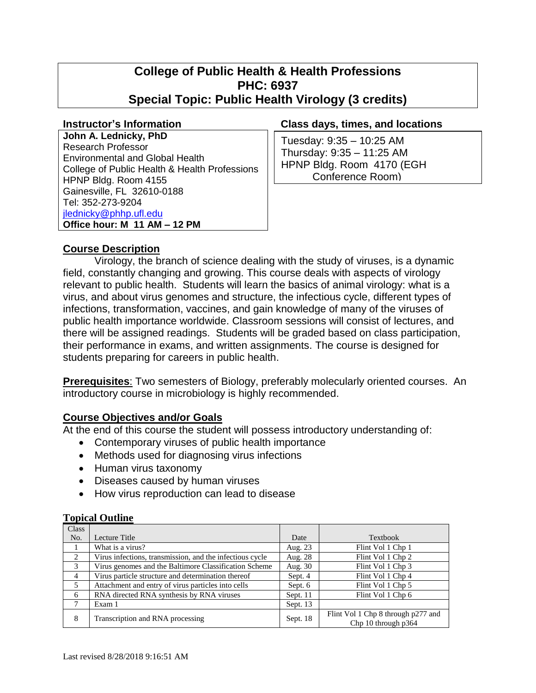# **College of Public Health & Health Professions PHC: 6937 Special Topic: Public Health Virology (3 credits)**

**John A. Lednicky, PhD** Research Professor Environmental and Global Health College of Public Health & Health Professions HPNP Bldg. Room 4155 Gainesville, FL 32610-0188 Tel: 352-273-9204 [jlednicky@phhp.ufl.edu](mailto:jlednicky@phhp.ufl.edu) **Office hour: M 11 AM – 12 PM**

#### **Instructor's Information Class days, times, and locations**

Tuesday: 9:35 – 10:25 AM Thursday: 9:35 – 11:25 AM HPNP Bldg. Room 4170 (EGH Conference Room)

# **Course Description**

Virology, the branch of science dealing with the study of viruses, is a dynamic field, constantly changing and growing. This course deals with aspects of virology relevant to public health. Students will learn the basics of animal virology: what is a virus, and about virus genomes and structure, the infectious cycle, different types of infections, transformation, vaccines, and gain knowledge of many of the viruses of public health importance worldwide. Classroom sessions will consist of lectures, and there will be assigned readings. Students will be graded based on class participation, their performance in exams, and written assignments. The course is designed for students preparing for careers in public health.

**Prerequisites**: Two semesters of Biology, preferably molecularly oriented courses. An introductory course in microbiology is highly recommended.

#### **Course Objectives and/or Goals**

At the end of this course the student will possess introductory understanding of:

- Contemporary viruses of public health importance
- Methods used for diagnosing virus infections
- Human virus taxonomy
- Diseases caused by human viruses
- How virus reproduction can lead to disease

#### **Topical Outline**

| Class |                                                          |            |                                                           |
|-------|----------------------------------------------------------|------------|-----------------------------------------------------------|
| No.   | Lecture Title                                            | Date       | Textbook                                                  |
| 1     | What is a virus?                                         | Aug. 23    | Flint Vol 1 Chp 1                                         |
| 2     | Virus infections, transmission, and the infectious cycle | Aug. 28    | Flint Vol 1 Chp 2                                         |
| 3     | Virus genomes and the Baltimore Classification Scheme    | Aug. 30    | Flint Vol 1 Chp 3                                         |
| 4     | Virus particle structure and determination thereof       | Sept. 4    | Flint Vol 1 Chp 4                                         |
| .5    | Attachment and entry of virus particles into cells       | Sept. 6    | Flint Vol 1 Chp 5                                         |
| 6     | RNA directed RNA synthesis by RNA viruses                | Sept. 11   | Flint Vol 1 Chp 6                                         |
|       | Exam 1                                                   | Sept. $13$ |                                                           |
| 8     | Transcription and RNA processing                         | Sept. 18   | Flint Vol 1 Chp 8 through p277 and<br>Chp 10 through p364 |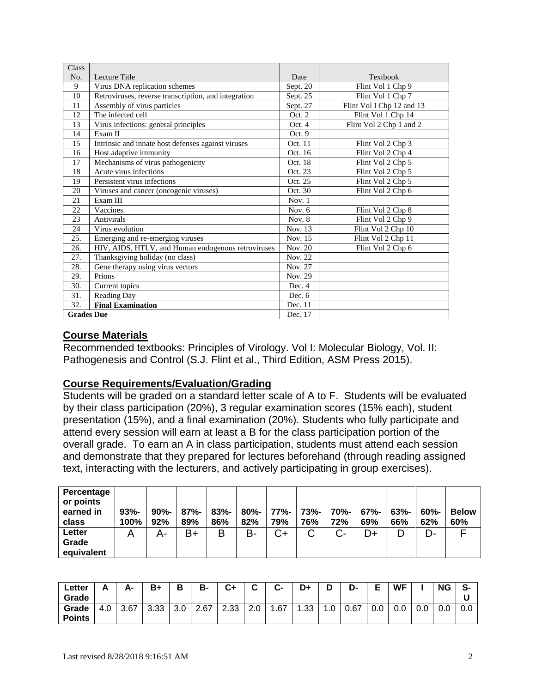| Class             |                                                      |          |                           |
|-------------------|------------------------------------------------------|----------|---------------------------|
| No.               | Lecture Title                                        | Date     | Textbook                  |
| 9                 | Virus DNA replication schemes                        | Sept. 20 | Flint Vol 1 Chp 9         |
| 10                | Retroviruses, reverse transcription, and integration | Sept. 25 | Flint Vol 1 Chp 7         |
| 11                | Assembly of virus particles                          | Sept. 27 | Flint Vol I Chp 12 and 13 |
| 12                | The infected cell                                    | Oct. 2   | Flint Vol 1 Chp 14        |
| 13                | Virus infections: general principles                 | Oct. 4   | Flint Vol 2 Chp 1 and 2   |
| 14                | Exam II                                              | Oct. 9   |                           |
| 15                | Intrinsic and innate host defenses against viruses   | Oct. 11  | Flint Vol 2 Chp 3         |
| 16                | Host adaptive immunity                               | Oct. 16  | Flint Vol 2 Chp 4         |
| 17                | Mechanisms of virus pathogenicity                    | Oct. 18  | Flint Vol 2 Chp 5         |
| 18                | Acute virus infections                               | Oct. 23  | Flint Vol 2 Chp 5         |
| 19                | Persistent virus infections                          | Oct. 25  | Flint Vol 2 Chp 5         |
| 20                | Viruses and cancer (oncogenic viruses)               | Oct. 30  | Flint Vol 2 Chp 6         |
| 21                | Exam III                                             | Nov. $1$ |                           |
| 22                | Vaccines                                             | Nov. $6$ | Flint Vol 2 Chp 8         |
| 23                | <b>Antivirals</b>                                    | Nov. 8   | Flint Vol 2 Chp 9         |
| 24                | Virus evolution                                      | Nov. 13  | Flint Vol 2 Chp 10        |
| 25.               | Emerging and re-emerging viruses                     | Nov. 15  | Flint Vol 2 Chp 11        |
| 26.               | HIV, AIDS, HTLV, and Human endogenous retroviruses   | Nov. 20  | Flint Vol 2 Chp 6         |
| 27.               | Thanksgiving holiday (no class)                      | Nov. 22  |                           |
| 28.               | Gene therapy using virus vectors                     | Nov. 27  |                           |
| 29.               | Prions                                               | Nov. 29  |                           |
| 30.               | Current topics                                       | Dec. 4   |                           |
| 31.               | <b>Reading Day</b>                                   | Dec. 6   |                           |
| 32.               | <b>Final Examination</b>                             | Dec. 11  |                           |
| <b>Grades Due</b> |                                                      | Dec. 17  |                           |

# **Course Materials**

Recommended textbooks: Principles of Virology. Vol I: Molecular Biology, Vol. II: Pathogenesis and Control (S.J. Flint et al., Third Edition, ASM Press 2015).

# **Course Requirements/Evaluation/Grading**

Students will be graded on a standard letter scale of A to F. Students will be evaluated by their class participation (20%), 3 regular examination scores (15% each), student presentation (15%), and a final examination (20%). Students who fully participate and attend every session will earn at least a B for the class participation portion of the overall grade. To earn an A in class participation, students must attend each session and demonstrate that they prepared for lectures beforehand (through reading assigned text, interacting with the lecturers, and actively participating in group exercises).

| Percentage<br>or points<br>earned in<br>class | $93% -$<br>100% | $90% -$<br>92% | $87% -$<br>89% | $83% -$<br>86% | $80\%$ -<br>82% | 77%-<br>79% | 73%-<br>76% | $70% -$<br>72% | $67% -$<br>69% | $63% -$<br>66% | $60\%$ -<br>62% | <b>Below</b><br>60% |
|-----------------------------------------------|-----------------|----------------|----------------|----------------|-----------------|-------------|-------------|----------------|----------------|----------------|-----------------|---------------------|
| Letter<br>Grade<br>equivalent                 | Α               | А-             | $B+$           | Β              | B-              | $C+$        | C           | $C-$           | D+             | D              | D-              |                     |

| $c$ etter<br>Grade     | А                 | А-   | B+   | в   | в-   | C+          | $\ddot{\phantom{1}}$<br>- | C-  | D+   | D   | D-   | -<br>- | WF  |     | <b>NG</b> | S-  |
|------------------------|-------------------|------|------|-----|------|-------------|---------------------------|-----|------|-----|------|--------|-----|-----|-----------|-----|
| Grade<br><b>Points</b> | $\sqrt{2}$<br>4.0 | 3.67 | 3.33 | v.v | 2.67 | つっつ<br>ںں.∠ | ⌒<br>2.0                  | .67 | 1.33 | ט.ו | 0.67 | 0.0    | v.v | 0.0 | v.v       | 0.0 |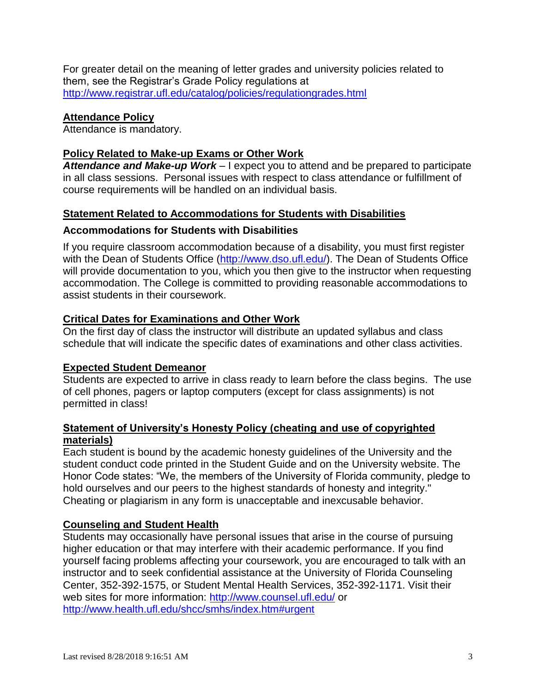For greater detail on the meaning of letter grades and university policies related to them, see the Registrar's Grade Policy regulations at <http://www.registrar.ufl.edu/catalog/policies/regulationgrades.html>

# **Attendance Policy**

Attendance is mandatory.

# **Policy Related to Make-up Exams or Other Work**

*Attendance and Make-up Work –* I expect you to attend and be prepared to participate in all class sessions. Personal issues with respect to class attendance or fulfillment of course requirements will be handled on an individual basis.

# **Statement Related to Accommodations for Students with Disabilities**

#### **Accommodations for Students with Disabilities**

If you require classroom accommodation because of a disability, you must first register with the Dean of Students Office [\(http://www.dso.ufl.edu/\)](http://www.dso.ufl.edu/). The Dean of Students Office will provide documentation to you, which you then give to the instructor when requesting accommodation. The College is committed to providing reasonable accommodations to assist students in their coursework.

# **Critical Dates for Examinations and Other Work**

On the first day of class the instructor will distribute an updated syllabus and class schedule that will indicate the specific dates of examinations and other class activities.

#### **Expected Student Demeanor**

Students are expected to arrive in class ready to learn before the class begins. The use of cell phones, pagers or laptop computers (except for class assignments) is not permitted in class!

#### **Statement of University's Honesty Policy (cheating and use of copyrighted materials)**

Each student is bound by the academic honesty guidelines of the University and the student conduct code printed in the Student Guide and on the University website. The Honor Code states: "We, the members of the University of Florida community, pledge to hold ourselves and our peers to the highest standards of honesty and integrity." Cheating or plagiarism in any form is unacceptable and inexcusable behavior.

# **Counseling and Student Health**

Students may occasionally have personal issues that arise in the course of pursuing higher education or that may interfere with their academic performance. If you find yourself facing problems affecting your coursework, you are encouraged to talk with an instructor and to seek confidential assistance at the University of Florida Counseling Center, 352-392-1575, or Student Mental Health Services, 352-392-1171. Visit their web sites for more information:<http://www.counsel.ufl.edu/> or <http://www.health.ufl.edu/shcc/smhs/index.htm#urgent>